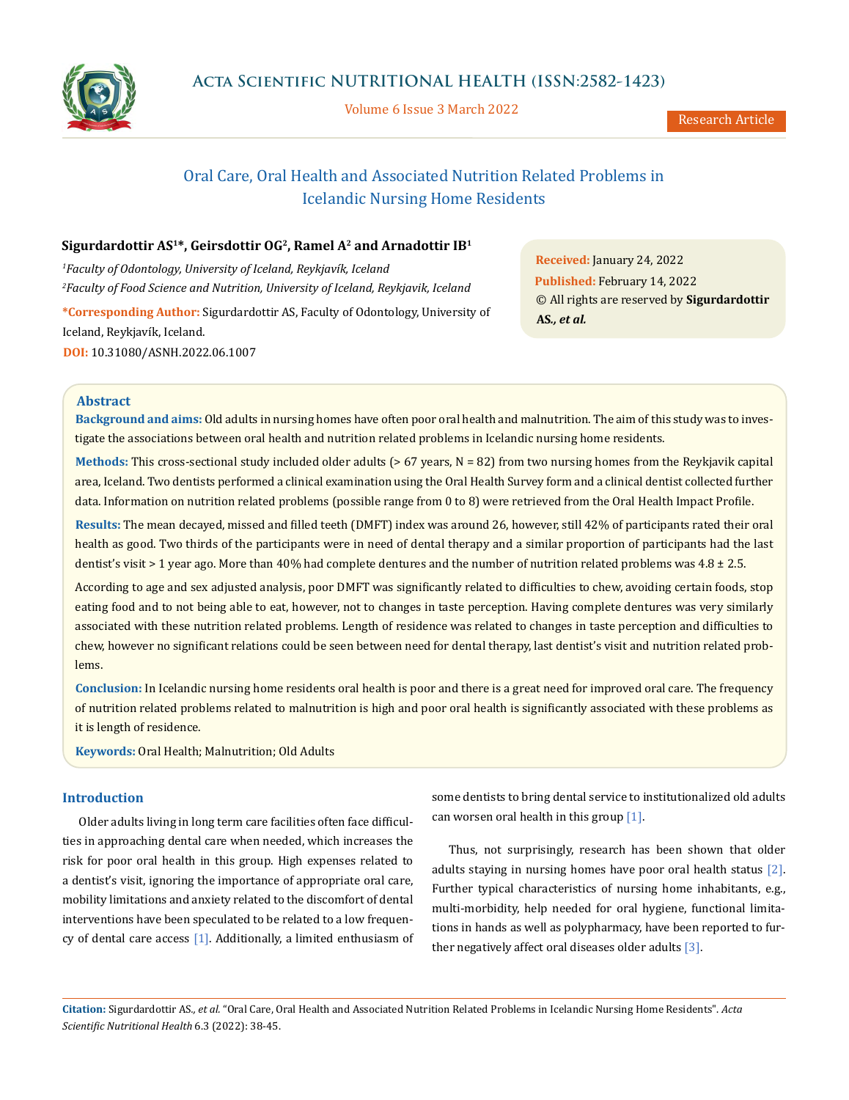

Volume 6 Issue 3 March 2022

# Oral Care, Oral Health and Associated Nutrition Related Problems in Icelandic Nursing Home Residents

# **Sigurdardottir AS1\*, Geirsdottir OG2, Ramel A2 and Arnadottir IB<sup>1</sup>**

*1 Faculty of Odontology, University of Iceland, Reykjavík, Iceland  2 Faculty of Food Science and Nutrition, University of Iceland, Reykjavik, Iceland* **\*Corresponding Author:** Sigurdardottir AS, Faculty of Odontology, University of Iceland, Reykjavík, Iceland. **DOI:** [10.31080/ASNH.2022.06.1007](https://actascientific.com/ASNH/pdf/ASNH-06-1007.pdf)

**Received:** January 24, 2022 **Published:** February 14, 2022 © All rights are reserved by **Sigurdardottir AS***., et al.* 

# **Abstract**

**Background and aims:** Old adults in nursing homes have often poor oral health and malnutrition. The aim of this study was to investigate the associations between oral health and nutrition related problems in Icelandic nursing home residents.

**Methods:** This cross-sectional study included older adults (> 67 years, N = 82) from two nursing homes from the Reykjavik capital area, Iceland. Two dentists performed a clinical examination using the Oral Health Survey form and a clinical dentist collected further data. Information on nutrition related problems (possible range from 0 to 8) were retrieved from the Oral Health Impact Profile.

**Results:** The mean decayed, missed and filled teeth (DMFT) index was around 26, however, still 42% of participants rated their oral health as good. Two thirds of the participants were in need of dental therapy and a similar proportion of participants had the last dentist's visit > 1 year ago. More than 40% had complete dentures and the number of nutrition related problems was 4.8 ± 2.5.

According to age and sex adjusted analysis, poor DMFT was significantly related to difficulties to chew, avoiding certain foods, stop eating food and to not being able to eat, however, not to changes in taste perception. Having complete dentures was very similarly associated with these nutrition related problems. Length of residence was related to changes in taste perception and difficulties to chew, however no significant relations could be seen between need for dental therapy, last dentist's visit and nutrition related problems.

**Conclusion:** In Icelandic nursing home residents oral health is poor and there is a great need for improved oral care. The frequency of nutrition related problems related to malnutrition is high and poor oral health is significantly associated with these problems as it is length of residence.

**Keywords:** Oral Health; Malnutrition; Old Adults

# **Introduction**

Older adults living in long term care facilities often face difficulties in approaching dental care when needed, which increases the risk for poor oral health in this group. High expenses related to a dentist's visit, ignoring the importance of appropriate oral care, mobility limitations and anxiety related to the discomfort of dental interventions have been speculated to be related to a low frequency of dental care access [1]. Additionally, a limited enthusiasm of some dentists to bring dental service to institutionalized old adults can worsen oral health in this group [1].

Thus, not surprisingly, research has been shown that older adults staying in nursing homes have poor oral health status [2]. Further typical characteristics of nursing home inhabitants, e.g., multi-morbidity, help needed for oral hygiene, functional limitations in hands as well as polypharmacy, have been reported to further negatively affect oral diseases older adults  $[3]$ .

**Citation:** Sigurdardottir AS*., et al.* "Oral Care, Oral Health and Associated Nutrition Related Problems in Icelandic Nursing Home Residents". *Acta Scientific Nutritional Health* 6.3 (2022): 38-45.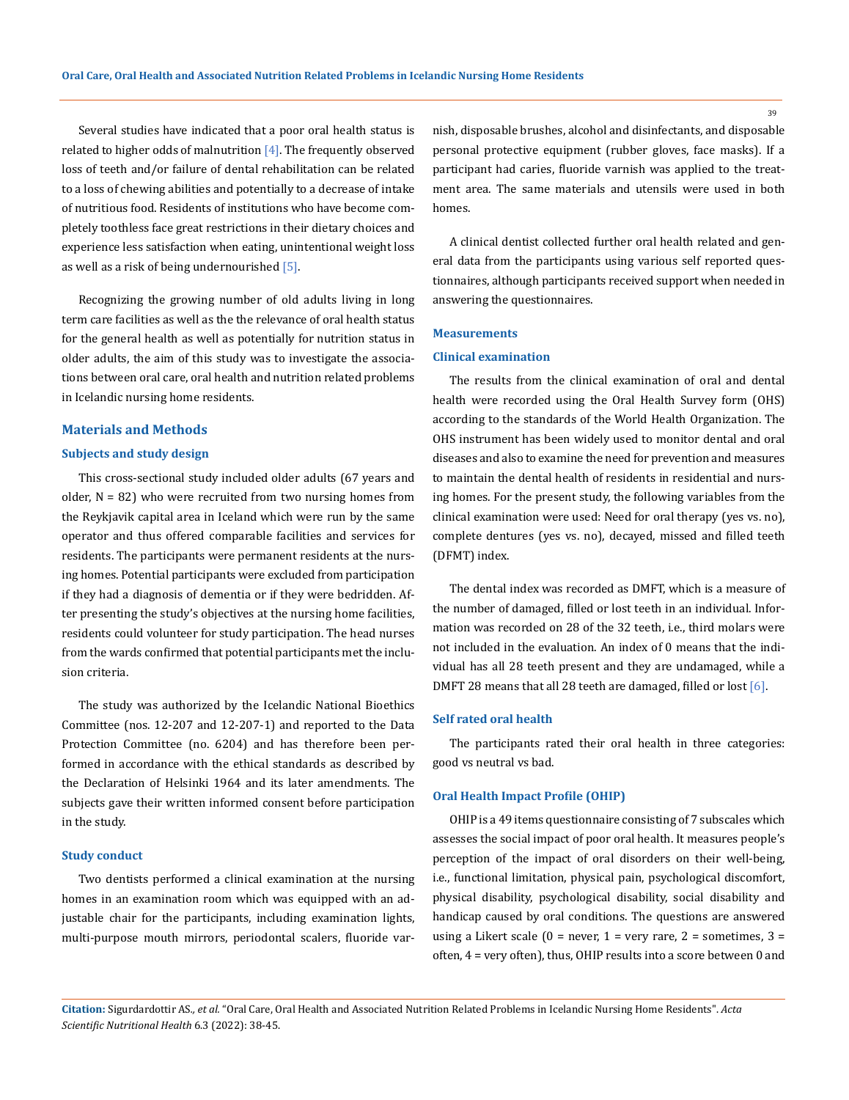Several studies have indicated that a poor oral health status is related to higher odds of malnutrition  $[4]$ . The frequently observed loss of teeth and/or failure of dental rehabilitation can be related to a loss of chewing abilities and potentially to a decrease of intake of nutritious food. Residents of institutions who have become completely toothless face great restrictions in their dietary choices and experience less satisfaction when eating, unintentional weight loss as well as a risk of being undernourished [5].

Recognizing the growing number of old adults living in long term care facilities as well as the the relevance of oral health status for the general health as well as potentially for nutrition status in older adults, the aim of this study was to investigate the associations between oral care, oral health and nutrition related problems in Icelandic nursing home residents.

#### **Materials and Methods**

#### **Subjects and study design**

This cross-sectional study included older adults (67 years and older,  $N = 82$ ) who were recruited from two nursing homes from the Reykjavik capital area in Iceland which were run by the same operator and thus offered comparable facilities and services for residents. The participants were permanent residents at the nursing homes. Potential participants were excluded from participation if they had a diagnosis of dementia or if they were bedridden. After presenting the study's objectives at the nursing home facilities, residents could volunteer for study participation. The head nurses from the wards confirmed that potential participants met the inclusion criteria.

The study was authorized by the Icelandic National Bioethics Committee (nos. 12-207 and 12-207-1) and reported to the Data Protection Committee (no. 6204) and has therefore been performed in accordance with the ethical standards as described by the Declaration of Helsinki 1964 and its later amendments. The subjects gave their written informed consent before participation in the study.

## **Study conduct**

Two dentists performed a clinical examination at the nursing homes in an examination room which was equipped with an adjustable chair for the participants, including examination lights, multi-purpose mouth mirrors, periodontal scalers, fluoride varnish, disposable brushes, alcohol and disinfectants, and disposable personal protective equipment (rubber gloves, face masks). If a participant had caries, fluoride varnish was applied to the treatment area. The same materials and utensils were used in both homes.

A clinical dentist collected further oral health related and general data from the participants using various self reported questionnaires, although participants received support when needed in answering the questionnaires.

#### **Measurements**

## **Clinical examination**

The results from the clinical examination of oral and dental health were recorded using the Oral Health Survey form (OHS) according to the standards of the World Health Organization. The OHS instrument has been widely used to monitor dental and oral diseases and also to examine the need for prevention and measures to maintain the dental health of residents in residential and nursing homes. For the present study, the following variables from the clinical examination were used: Need for oral therapy (yes vs. no), complete dentures (yes vs. no), decayed, missed and filled teeth (DFMT) index.

The dental index was recorded as DMFT, which is a measure of the number of damaged, filled or lost teeth in an individual. Information was recorded on 28 of the 32 teeth, i.e., third molars were not included in the evaluation. An index of 0 means that the individual has all 28 teeth present and they are undamaged, while a DMFT 28 means that all 28 teeth are damaged, filled or lost [6].

## **Self rated oral health**

The participants rated their oral health in three categories: good vs neutral vs bad.

#### **Oral Health Impact Profile (OHIP)**

OHIP is a 49 items questionnaire consisting of 7 subscales which assesses the social impact of poor oral health. It measures people's perception of the impact of oral disorders on their well-being, i.e., functional limitation, physical pain, psychological discomfort, physical disability, psychological disability, social disability and handicap caused by oral conditions. The questions are answered using a Likert scale  $(0 = never, 1 = very rare, 2 = sometimes, 3 =$ often, 4 = very often), thus, OHIP results into a score between 0 and

**Citation:** Sigurdardottir AS*., et al.* "Oral Care, Oral Health and Associated Nutrition Related Problems in Icelandic Nursing Home Residents". *Acta Scientific Nutritional Health* 6.3 (2022): 38-45.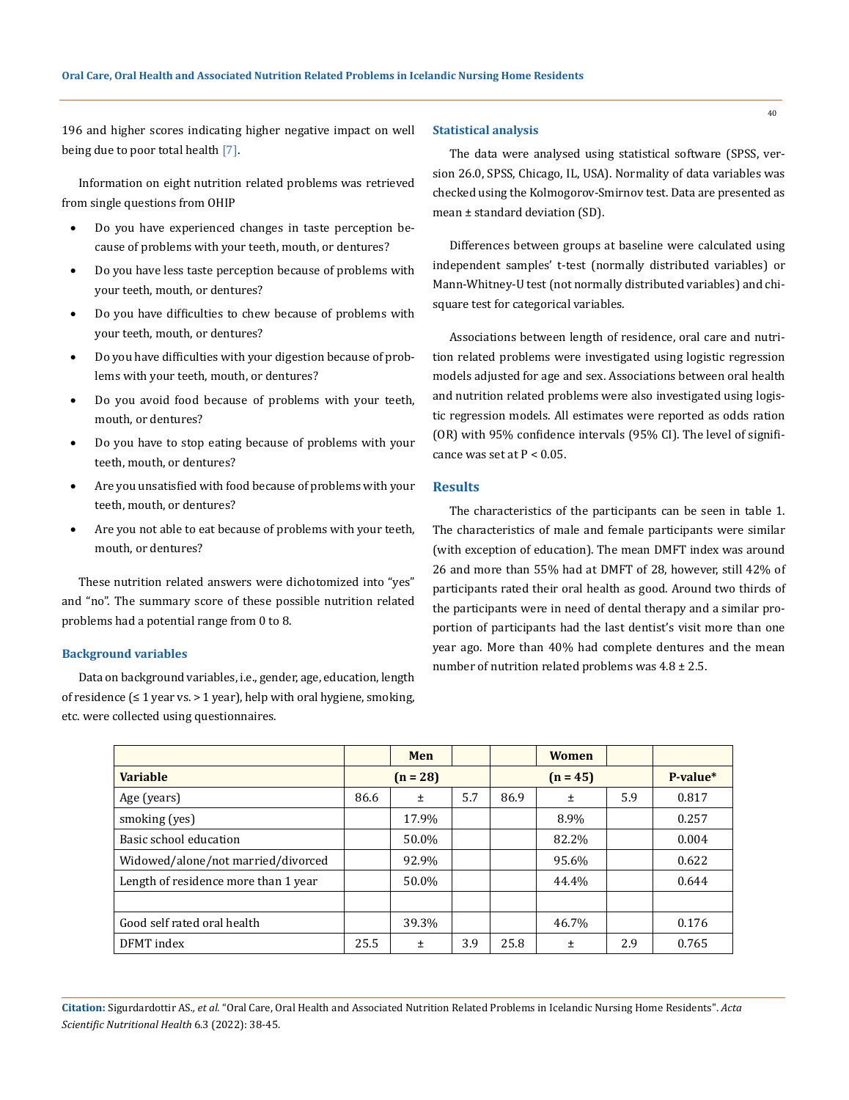196 and higher scores indicating higher negative impact on well being due to poor total health [7].

Information on eight nutrition related problems was retrieved from single questions from OHIP

- Do you have experienced changes in taste perception because of problems with your teeth, mouth, or dentures?
- Do you have less taste perception because of problems with your teeth, mouth, or dentures?
- Do you have difficulties to chew because of problems with your teeth, mouth, or dentures?
- Do you have difficulties with your digestion because of problems with your teeth, mouth, or dentures?
- Do you avoid food because of problems with your teeth, mouth, or dentures?
- Do you have to stop eating because of problems with your teeth, mouth, or dentures?
- Are you unsatisfied with food because of problems with your teeth, mouth, or dentures?
- Are you not able to eat because of problems with your teeth, mouth, or dentures?

These nutrition related answers were dichotomized into "yes" and "no". The summary score of these possible nutrition related problems had a potential range from 0 to 8.

#### **Background variables**

Data on background variables, i.e., gender, age, education, length of residence  $\leq 1$  year vs. > 1 year), help with oral hygiene, smoking, etc. were collected using questionnaires.

#### **Statistical analysis**

The data were analysed using statistical software (SPSS, version 26.0, SPSS, Chicago, IL, USA). Normality of data variables was checked using the Kolmogorov-Smirnov test. Data are presented as mean ± standard deviation (SD).

Differences between groups at baseline were calculated using independent samples' t-test (normally distributed variables) or Mann-Whitney-U test (not normally distributed variables) and chisquare test for categorical variables.

Associations between length of residence, oral care and nutrition related problems were investigated using logistic regression models adjusted for age and sex. Associations between oral health and nutrition related problems were also investigated using logistic regression models. All estimates were reported as odds ration (OR) with 95% confidence intervals (95% CI). The level of significance was set at  $P < 0.05$ .

# **Results**

The characteristics of the participants can be seen in table 1. The characteristics of male and female participants were similar (with exception of education). The mean DMFT index was around 26 and more than 55% had at DMFT of 28, however, still 42% of participants rated their oral health as good. Around two thirds of the participants were in need of dental therapy and a similar proportion of participants had the last dentist's visit more than one year ago. More than 40% had complete dentures and the mean number of nutrition related problems was 4.8 ± 2.5.

|                                      |            | Men   |     |            | <b>Women</b> |     |          |
|--------------------------------------|------------|-------|-----|------------|--------------|-----|----------|
| <b>Variable</b>                      | $(n = 28)$ |       |     | $(n = 45)$ |              |     | P-value* |
| Age (years)                          | 86.6       | $\pm$ | 5.7 | 86.9       | Ŧ            | 5.9 | 0.817    |
| smoking (yes)                        |            | 17.9% |     |            | 8.9%         |     | 0.257    |
| Basic school education               |            | 50.0% |     |            | 82.2%        |     | 0.004    |
| Widowed/alone/not married/divorced   |            | 92.9% |     |            | 95.6%        |     | 0.622    |
| Length of residence more than 1 year |            | 50.0% |     |            | 44.4%        |     | 0.644    |
|                                      |            |       |     |            |              |     |          |
| Good self rated oral health          |            | 39.3% |     |            | 46.7%        |     | 0.176    |
| DFMT index                           | 25.5       | 土     | 3.9 | 25.8       | Ŧ            | 2.9 | 0.765    |

**Citation:** Sigurdardottir AS*., et al.* "Oral Care, Oral Health and Associated Nutrition Related Problems in Icelandic Nursing Home Residents". *Acta Scientific Nutritional Health* 6.3 (2022): 38-45.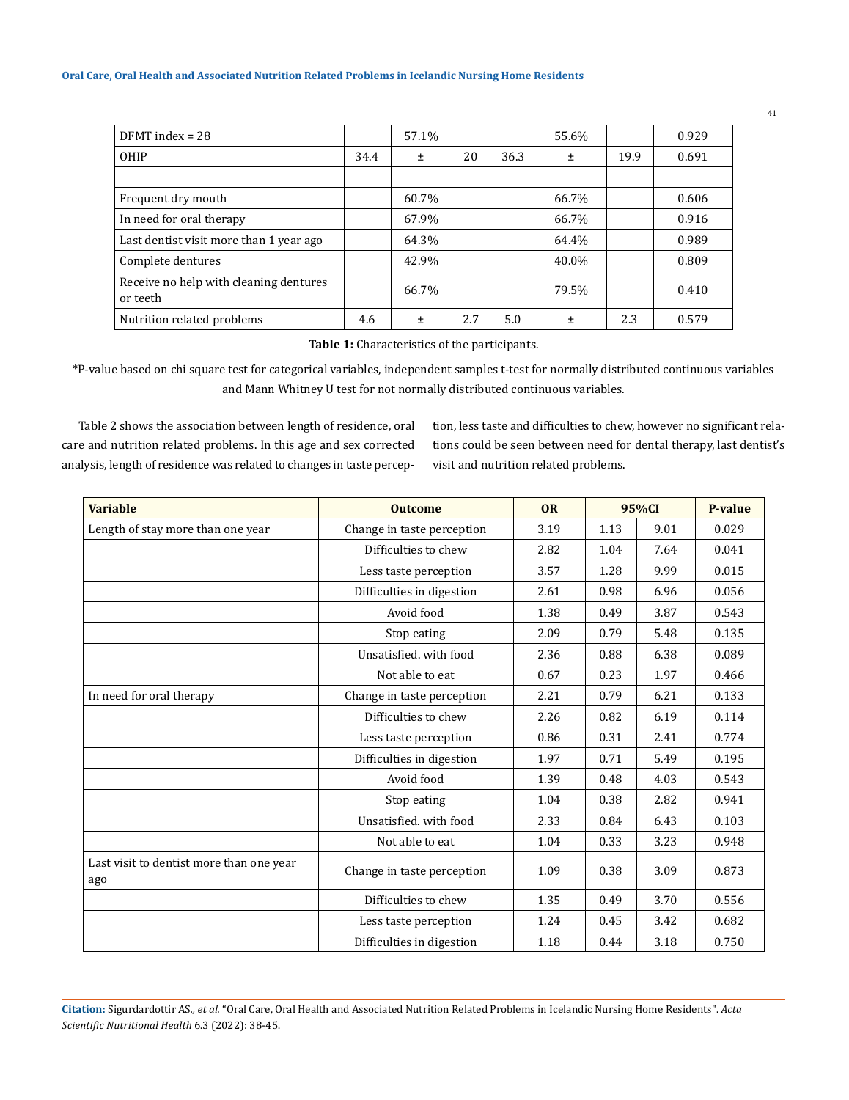| $DFMT$ index = 28                                  |      | 57.1% |     |      | 55.6% |      | 0.929 |
|----------------------------------------------------|------|-------|-----|------|-------|------|-------|
| OHIP                                               | 34.4 | $\pm$ | 20  | 36.3 | Ŧ     | 19.9 | 0.691 |
|                                                    |      |       |     |      |       |      |       |
| Frequent dry mouth                                 |      | 60.7% |     |      | 66.7% |      | 0.606 |
| In need for oral therapy                           |      | 67.9% |     |      | 66.7% |      | 0.916 |
| Last dentist visit more than 1 year ago            |      | 64.3% |     |      | 64.4% |      | 0.989 |
| Complete dentures                                  |      | 42.9% |     |      | 40.0% |      | 0.809 |
| Receive no help with cleaning dentures<br>or teeth |      | 66.7% |     |      | 79.5% |      | 0.410 |
| Nutrition related problems                         | 4.6  | Ŧ     | 2.7 | 5.0  | 土     | 2.3  | 0.579 |

**Table 1:** Characteristics of the participants.

\*P-value based on chi square test for categorical variables, independent samples t-test for normally distributed continuous variables and Mann Whitney U test for not normally distributed continuous variables.

Table 2 shows the association between length of residence, oral care and nutrition related problems. In this age and sex corrected analysis, length of residence was related to changes in taste perception, less taste and difficulties to chew, however no significant relations could be seen between need for dental therapy, last dentist's visit and nutrition related problems.

| <b>Variable</b>                                 | <b>Outcome</b>             | <b>OR</b> | 95%CI |      | <b>P-value</b> |  |
|-------------------------------------------------|----------------------------|-----------|-------|------|----------------|--|
| Length of stay more than one year               | Change in taste perception | 3.19      | 1.13  | 9.01 | 0.029          |  |
|                                                 | Difficulties to chew       | 2.82      | 1.04  | 7.64 | 0.041          |  |
|                                                 | Less taste perception      | 3.57      | 1.28  | 9.99 | 0.015          |  |
|                                                 | Difficulties in digestion  | 2.61      | 0.98  | 6.96 | 0.056          |  |
|                                                 | Avoid food                 | 1.38      | 0.49  | 3.87 | 0.543          |  |
|                                                 | Stop eating                | 2.09      | 0.79  | 5.48 | 0.135          |  |
|                                                 | Unsatisfied, with food     | 2.36      | 0.88  | 6.38 | 0.089          |  |
|                                                 | Not able to eat            | 0.67      | 0.23  | 1.97 | 0.466          |  |
| In need for oral therapy                        | Change in taste perception | 2.21      | 0.79  | 6.21 | 0.133          |  |
|                                                 | Difficulties to chew       | 2.26      | 0.82  | 6.19 | 0.114          |  |
|                                                 | Less taste perception      | 0.86      | 0.31  | 2.41 | 0.774          |  |
|                                                 | Difficulties in digestion  | 1.97      | 0.71  | 5.49 | 0.195          |  |
|                                                 | Avoid food                 | 1.39      | 0.48  | 4.03 | 0.543          |  |
|                                                 | Stop eating                | 1.04      | 0.38  | 2.82 | 0.941          |  |
|                                                 | Unsatisfied. with food     | 2.33      | 0.84  | 6.43 | 0.103          |  |
|                                                 | Not able to eat            | 1.04      | 0.33  | 3.23 | 0.948          |  |
| Last visit to dentist more than one year<br>ago | Change in taste perception | 1.09      | 0.38  | 3.09 | 0.873          |  |
|                                                 | Difficulties to chew       | 1.35      | 0.49  | 3.70 | 0.556          |  |
|                                                 | Less taste perception      | 1.24      | 0.45  | 3.42 | 0.682          |  |
|                                                 | Difficulties in digestion  | 1.18      | 0.44  | 3.18 | 0.750          |  |

**Citation:** Sigurdardottir AS*., et al.* "Oral Care, Oral Health and Associated Nutrition Related Problems in Icelandic Nursing Home Residents". *Acta Scientific Nutritional Health* 6.3 (2022): 38-45.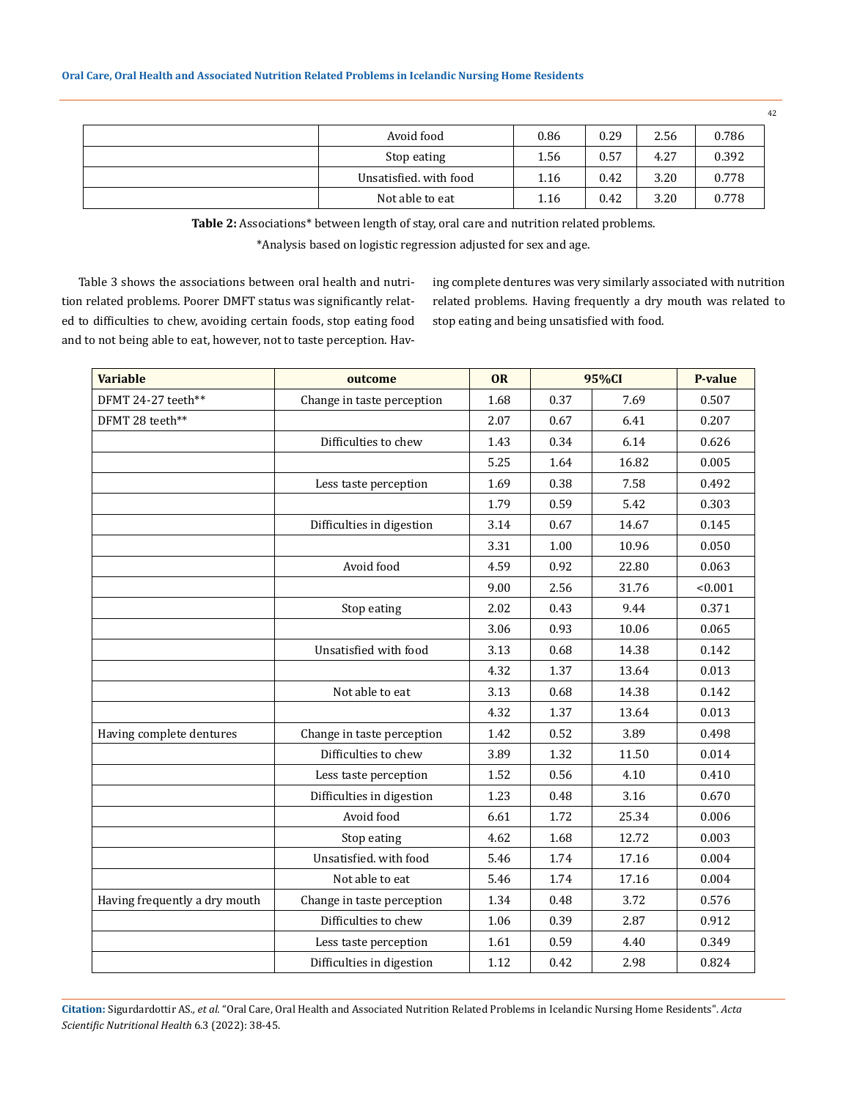| Avoid food             | 0.86 | 0.29 | 2.56 | 0.786 |
|------------------------|------|------|------|-------|
| Stop eating            | 1.56 | 0.57 | 4.27 | 0.392 |
| Unsatisfied, with food | 1.16 | 0.42 | 3.20 | 0.778 |
| Not able to eat        | 1.16 | 0.42 | 3.20 | 0.778 |

**Table 2:** Associations\* between length of stay, oral care and nutrition related problems. \*Analysis based on logistic regression adjusted for sex and age.

Table 3 shows the associations between oral health and nutrition related problems. Poorer DMFT status was significantly related to difficulties to chew, avoiding certain foods, stop eating food and to not being able to eat, however, not to taste perception. Having complete dentures was very similarly associated with nutrition related problems. Having frequently a dry mouth was related to stop eating and being unsatisfied with food.

| <b>Variable</b>               | outcome                    | <b>OR</b> | 95%CI | <b>P-value</b> |         |
|-------------------------------|----------------------------|-----------|-------|----------------|---------|
| DFMT 24-27 teeth**            | Change in taste perception | 1.68      | 0.37  | 7.69           | 0.507   |
| DFMT 28 teeth**               |                            | 2.07      | 0.67  | 6.41           | 0.207   |
|                               | Difficulties to chew       | 1.43      | 0.34  | 6.14           | 0.626   |
|                               |                            | 5.25      | 1.64  | 16.82          | 0.005   |
|                               | Less taste perception      | 1.69      | 0.38  | 7.58           | 0.492   |
|                               |                            | 1.79      | 0.59  | 5.42           | 0.303   |
|                               | Difficulties in digestion  | 3.14      | 0.67  | 14.67          | 0.145   |
|                               |                            | 3.31      | 1.00  | 10.96          | 0.050   |
|                               | Avoid food                 | 4.59      | 0.92  | 22.80          | 0.063   |
|                               |                            | 9.00      | 2.56  | 31.76          | < 0.001 |
|                               | Stop eating                | 2.02      | 0.43  | 9.44           | 0.371   |
|                               |                            | 3.06      | 0.93  | 10.06          | 0.065   |
|                               | Unsatisfied with food      | 3.13      | 0.68  | 14.38          | 0.142   |
|                               |                            | 4.32      | 1.37  | 13.64          | 0.013   |
|                               | Not able to eat            | 3.13      | 0.68  | 14.38          | 0.142   |
|                               |                            | 4.32      | 1.37  | 13.64          | 0.013   |
| Having complete dentures      | Change in taste perception | 1.42      | 0.52  | 3.89           | 0.498   |
|                               | Difficulties to chew       | 3.89      | 1.32  | 11.50          | 0.014   |
|                               | Less taste perception      | 1.52      | 0.56  | 4.10           | 0.410   |
|                               | Difficulties in digestion  | 1.23      | 0.48  | 3.16           | 0.670   |
|                               | Avoid food                 | 6.61      | 1.72  | 25.34          | 0.006   |
|                               | Stop eating                | 4.62      | 1.68  | 12.72          | 0.003   |
|                               | Unsatisfied. with food     | 5.46      | 1.74  | 17.16          | 0.004   |
|                               | Not able to eat            | 5.46      | 1.74  | 17.16          | 0.004   |
| Having frequently a dry mouth | Change in taste perception | 1.34      | 0.48  | 3.72           | 0.576   |
|                               | Difficulties to chew       | 1.06      | 0.39  | 2.87           | 0.912   |
|                               | Less taste perception      | 1.61      | 0.59  | 4.40           | 0.349   |
|                               | Difficulties in digestion  | 1.12      | 0.42  | 2.98           | 0.824   |

**Citation:** Sigurdardottir AS*., et al.* "Oral Care, Oral Health and Associated Nutrition Related Problems in Icelandic Nursing Home Residents". *Acta Scientific Nutritional Health* 6.3 (2022): 38-45.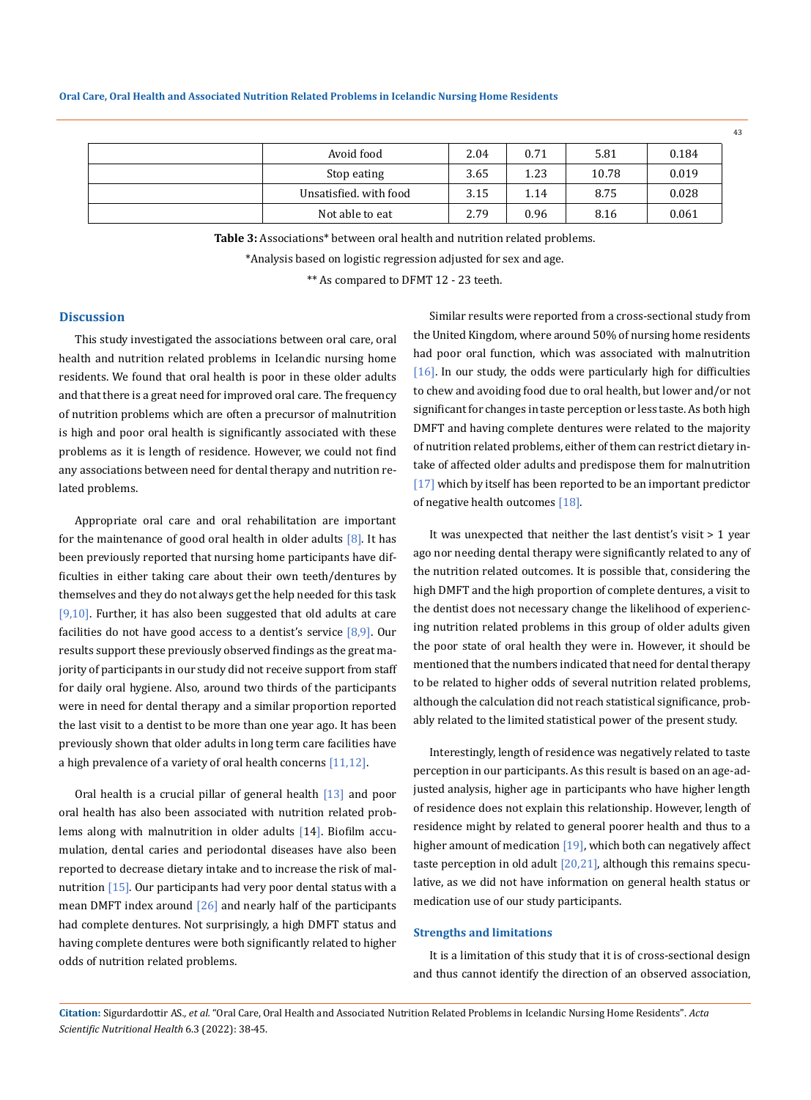#### **Oral Care, Oral Health and Associated Nutrition Related Problems in Icelandic Nursing Home Residents**

| Avoid food             | 2.04 | 0.71 | 5.81  | 0.184 |
|------------------------|------|------|-------|-------|
| Stop eating            | 3.65 | 1.23 | 10.78 | 0.019 |
| Unsatisfied, with food | 3.15 | 1.14 | 8.75  | 0.028 |
| Not able to eat        | 2.79 | 0.96 | 8.16  | 0.061 |

**Table 3:** Associations\* between oral health and nutrition related problems.

\*Analysis based on logistic regression adjusted for sex and age.

\*\* As compared to DFMT 12 - 23 teeth.

# **Discussion**

This study investigated the associations between oral care, oral health and nutrition related problems in Icelandic nursing home residents. We found that oral health is poor in these older adults and that there is a great need for improved oral care. The frequency of nutrition problems which are often a precursor of malnutrition is high and poor oral health is significantly associated with these problems as it is length of residence. However, we could not find any associations between need for dental therapy and nutrition related problems.

Appropriate oral care and oral rehabilitation are important for the maintenance of good oral health in older adults  $[8]$ . It has been previously reported that nursing home participants have difficulties in either taking care about their own teeth/dentures by themselves and they do not always get the help needed for this task  $[9,10]$ . Further, it has also been suggested that old adults at care facilities do not have good access to a dentist's service  $[8,9]$ . Our results support these previously observed findings as the great majority of participants in our study did not receive support from staff for daily oral hygiene. Also, around two thirds of the participants were in need for dental therapy and a similar proportion reported the last visit to a dentist to be more than one year ago. It has been previously shown that older adults in long term care facilities have a high prevalence of a variety of oral health concerns [11,12].

Oral health is a crucial pillar of general health [13] and poor oral health has also been associated with nutrition related problems along with malnutrition in older adults [14]. Biofilm accumulation, dental caries and periodontal diseases have also been reported to decrease dietary intake and to increase the risk of malnutrition [15]. Our participants had very poor dental status with a mean DMFT index around  $[26]$  and nearly half of the participants had complete dentures. Not surprisingly, a high DMFT status and having complete dentures were both significantly related to higher odds of nutrition related problems.

Similar results were reported from a cross-sectional study from the United Kingdom, where around 50% of nursing home residents had poor oral function, which was associated with malnutrition  $[16]$ . In our study, the odds were particularly high for difficulties to chew and avoiding food due to oral health, but lower and/or not significant for changes in taste perception or less taste. As both high DMFT and having complete dentures were related to the majority of nutrition related problems, either of them can restrict dietary intake of affected older adults and predispose them for malnutrition [17] which by itself has been reported to be an important predictor of negative health outcomes [18].

It was unexpected that neither the last dentist's visit > 1 year ago nor needing dental therapy were significantly related to any of the nutrition related outcomes. It is possible that, considering the high DMFT and the high proportion of complete dentures, a visit to the dentist does not necessary change the likelihood of experiencing nutrition related problems in this group of older adults given the poor state of oral health they were in. However, it should be mentioned that the numbers indicated that need for dental therapy to be related to higher odds of several nutrition related problems, although the calculation did not reach statistical significance, probably related to the limited statistical power of the present study.

Interestingly, length of residence was negatively related to taste perception in our participants. As this result is based on an age-adjusted analysis, higher age in participants who have higher length of residence does not explain this relationship. However, length of residence might by related to general poorer health and thus to a higher amount of medication [19], which both can negatively affect taste perception in old adult  $[20,21]$ , although this remains speculative, as we did not have information on general health status or medication use of our study participants.

#### **Strengths and limitations**

It is a limitation of this study that it is of cross-sectional design and thus cannot identify the direction of an observed association,

**Citation:** Sigurdardottir AS*., et al.* "Oral Care, Oral Health and Associated Nutrition Related Problems in Icelandic Nursing Home Residents". *Acta Scientific Nutritional Health* 6.3 (2022): 38-45.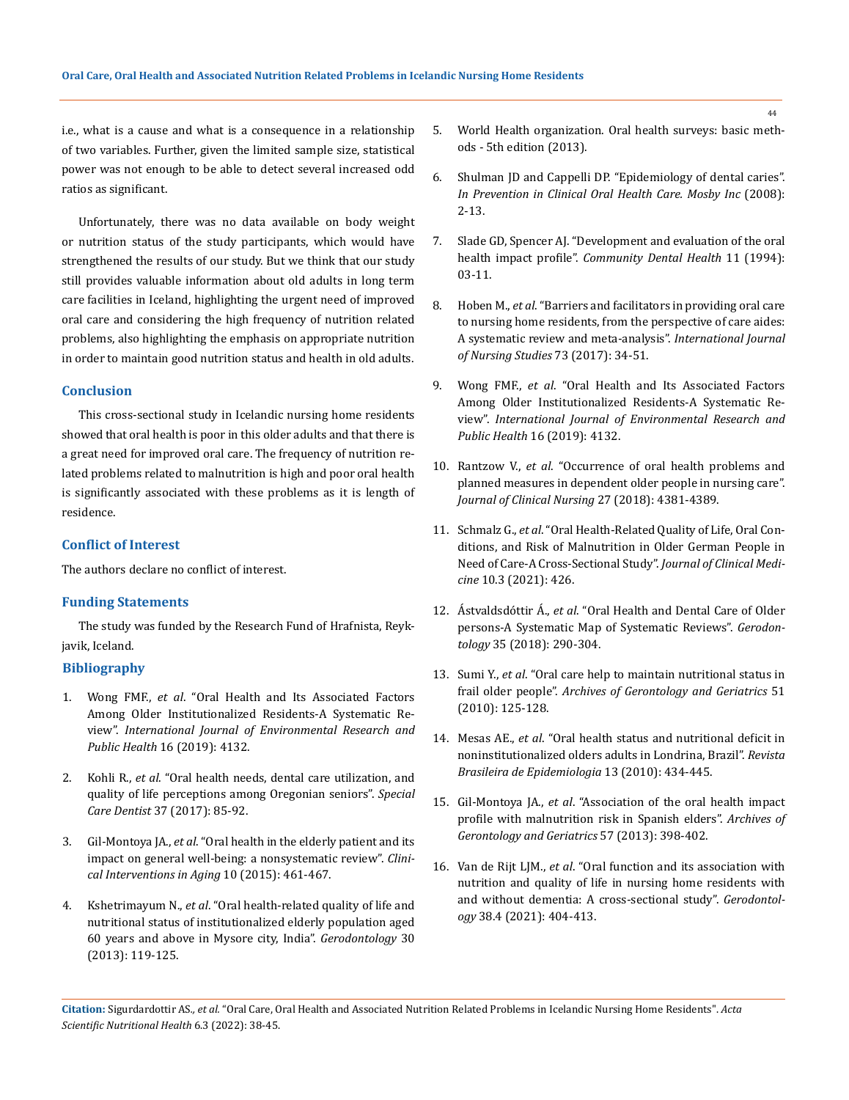i.e., what is a cause and what is a consequence in a relationship of two variables. Further, given the limited sample size, statistical power was not enough to be able to detect several increased odd ratios as significant.

Unfortunately, there was no data available on body weight or nutrition status of the study participants, which would have strengthened the results of our study. But we think that our study still provides valuable information about old adults in long term care facilities in Iceland, highlighting the urgent need of improved oral care and considering the high frequency of nutrition related problems, also highlighting the emphasis on appropriate nutrition in order to maintain good nutrition status and health in old adults.

# **Conclusion**

This cross-sectional study in Icelandic nursing home residents showed that oral health is poor in this older adults and that there is a great need for improved oral care. The frequency of nutrition related problems related to malnutrition is high and poor oral health is significantly associated with these problems as it is length of residence.

## **Conflict of Interest**

The authors declare no conflict of interest.

# **Funding Statements**

The study was funded by the Research Fund of Hrafnista, Reykjavik, Iceland.

# **Bibliography**

- 1. Wong FMF., *et al*[. "Oral Health and Its Associated Factors](https://pubmed.ncbi.nlm.nih.gov/31717812/)  [Among Older Institutionalized Residents-A Systematic Re](https://pubmed.ncbi.nlm.nih.gov/31717812/)view". *[International Journal of Environmental Research and](https://pubmed.ncbi.nlm.nih.gov/31717812/)  Public Health* [16 \(2019\): 4132.](https://pubmed.ncbi.nlm.nih.gov/31717812/)
- 2. Kohli R., *et al*[. "Oral health needs, dental care utilization, and](https://pubmed.ncbi.nlm.nih.gov/28181683/)  [quality of life perceptions among Oregonian seniors".](https://pubmed.ncbi.nlm.nih.gov/28181683/) *Special Care Dentist* [37 \(2017\): 85-92.](https://pubmed.ncbi.nlm.nih.gov/28181683/)
- 3. Gil-Montoya JA., *et al*[. "Oral health in the elderly patient and its](https://pubmed.ncbi.nlm.nih.gov/25709420/)  [impact on general well-being: a nonsystematic review".](https://pubmed.ncbi.nlm.nih.gov/25709420/) *Clini[cal Interventions in Aging](https://pubmed.ncbi.nlm.nih.gov/25709420/)* 10 (2015): 461-467.
- 4. Kshetrimayum N., *et al*[. "Oral health-related quality of life and](https://pubmed.ncbi.nlm.nih.gov/22364560/)  [nutritional status of institutionalized elderly population aged](https://pubmed.ncbi.nlm.nih.gov/22364560/)  [60 years and above in Mysore city, India".](https://pubmed.ncbi.nlm.nih.gov/22364560/) *Gerodontology* 30 [\(2013\): 119-125.](https://pubmed.ncbi.nlm.nih.gov/22364560/)
- 5. [World Health organization. Oral health surveys: basic meth](https://www.who.int/publications/i/item/9789241548649)[ods - 5th edition \(2013\).](https://www.who.int/publications/i/item/9789241548649)
- 6. Shulman JD and Cappelli DP. "Epidemiology of dental caries". *In Prevention in Clinical Oral Health Care. Mosby Inc* (2008): 2-13.
- 7. [Slade GD, Spencer AJ. "Development and evaluation of the oral](https://pubmed.ncbi.nlm.nih.gov/8193981/)  health impact profile". *[Community Dental Health](https://pubmed.ncbi.nlm.nih.gov/8193981/)* 11 (1994): [03-11.](https://pubmed.ncbi.nlm.nih.gov/8193981/)
- 8. Hoben M., *et al*[. "Barriers and facilitators in providing oral care](https://pubmed.ncbi.nlm.nih.gov/28531550/)  [to nursing home residents, from the perspective of care aides:](https://pubmed.ncbi.nlm.nih.gov/28531550/)  [A systematic review and meta-analysis".](https://pubmed.ncbi.nlm.nih.gov/28531550/) *International Journal [of Nursing Studies](https://pubmed.ncbi.nlm.nih.gov/28531550/)* 73 (2017): 34-51.
- 9. Wong FMF., *et al*[. "Oral Health and Its Associated Factors](https://pubmed.ncbi.nlm.nih.gov/31717812/)  [Among Older Institutionalized Residents-A Systematic Re](https://pubmed.ncbi.nlm.nih.gov/31717812/)view". *[International Journal of Environmental Research and](https://pubmed.ncbi.nlm.nih.gov/31717812/)  Public Health* [16 \(2019\): 4132.](https://pubmed.ncbi.nlm.nih.gov/31717812/)
- 10. Rantzow V., *et al*[. "Occurrence of oral health problems and](https://pubmed.ncbi.nlm.nih.gov/29943858/)  [planned measures in dependent older people in nursing care".](https://pubmed.ncbi.nlm.nih.gov/29943858/)  *[Journal of Clinical Nursing](https://pubmed.ncbi.nlm.nih.gov/29943858/)* 27 (2018): 4381-4389.
- 11. Schmalz G., *et al*[. "Oral Health-Related Quality of Life, Oral Con](https://pubmed.ncbi.nlm.nih.gov/33499288/)[ditions, and Risk of Malnutrition in Older German People in](https://pubmed.ncbi.nlm.nih.gov/33499288/)  [Need of Care-A Cross-Sectional Study".](https://pubmed.ncbi.nlm.nih.gov/33499288/) *Journal of Clinical Medicine* [10.3 \(2021\): 426.](https://pubmed.ncbi.nlm.nih.gov/33499288/)
- 12. Ástvaldsdóttir Á., *et al*[. "Oral Health and Dental Care of Older](https://pubmed.ncbi.nlm.nih.gov/30129220/)  [persons-A Systematic Map of Systematic Reviews".](https://pubmed.ncbi.nlm.nih.gov/30129220/) *Gerodontology* [35 \(2018\): 290-304.](https://pubmed.ncbi.nlm.nih.gov/30129220/)
- 13. Sumi Y., *et al*[. "Oral care help to maintain nutritional status in](https://pubmed.ncbi.nlm.nih.gov/19892414/)  frail older people". *[Archives of Gerontology and Geriatrics](https://pubmed.ncbi.nlm.nih.gov/19892414/)* 51 [\(2010\): 125-128.](https://pubmed.ncbi.nlm.nih.gov/19892414/)
- 14. Mesas AE., *et al*[. "Oral health status and nutritional deficit in](https://pubmed.ncbi.nlm.nih.gov/20857030/)  [noninstitutionalized olders adults in Londrina, Brazil".](https://pubmed.ncbi.nlm.nih.gov/20857030/) *Revista [Brasileira de Epidemiologia](https://pubmed.ncbi.nlm.nih.gov/20857030/)* 13 (2010): 434-445.
- 15. Gil-Montoya JA., *et al*[. "Association of the oral health impact](https://pubmed.ncbi.nlm.nih.gov/23763956/)  [profile with malnutrition risk in Spanish elders".](https://pubmed.ncbi.nlm.nih.gov/23763956/) *Archives of [Gerontology and Geriatrics](https://pubmed.ncbi.nlm.nih.gov/23763956/)* 57 (2013): 398-402.
- 16. Van de Rijt LJM., *et al*[. "Oral function and its association with](https://pubmed.ncbi.nlm.nih.gov/33521997/)  [nutrition and quality of life in nursing home residents with](https://pubmed.ncbi.nlm.nih.gov/33521997/)  [and without dementia: A cross-sectional study".](https://pubmed.ncbi.nlm.nih.gov/33521997/) *Gerodontology* [38.4 \(2021\): 404-413.](https://pubmed.ncbi.nlm.nih.gov/33521997/)

**Citation:** Sigurdardottir AS*., et al.* "Oral Care, Oral Health and Associated Nutrition Related Problems in Icelandic Nursing Home Residents". *Acta Scientific Nutritional Health* 6.3 (2022): 38-45.